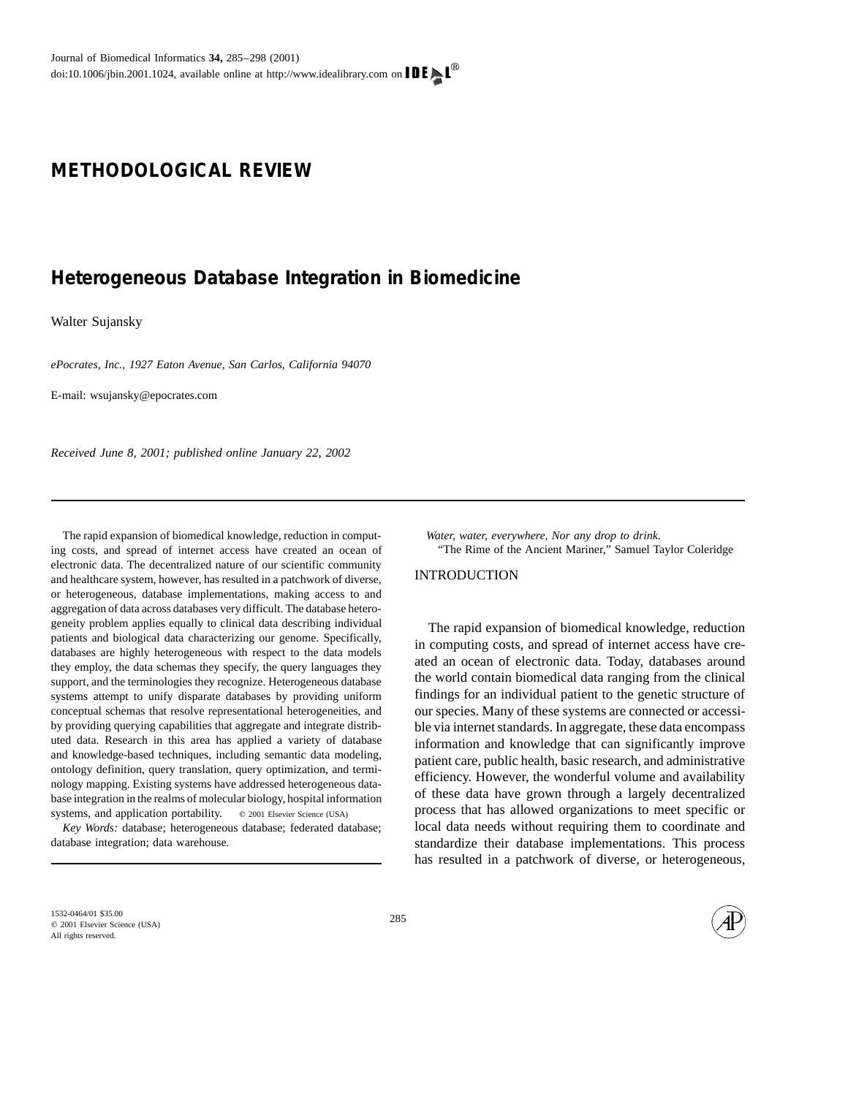# **METHODOLOGICAL REVIEW**

## **Heterogeneous Database Integration in Biomedicine**

Walter Sujansky

*ePocrates, Inc., 1927 Eaton Avenue, San Carlos, California 94070*

E-mail: wsujansky@epocrates.com

*Received June 8, 2001; published online January 22, 2002*

The rapid expansion of biomedical knowledge, reduction in comput-<br>
g costs, and spread of internet access have created an ocean of "The Rime of the Ancient Mariner," Samuel Taylor Coleridge ing costs, and spread of internet access have created an ocean of electronic data. The decentralized nature of our scientific community and healthcare system, however, has resulted in a patchwork of diverse, INTRODUCTION or heterogeneous, database implementations, making access to and aggregation of data across databases very difficult. The database heterogeneity problem applies equally to clinical data describing individual<br>patients and biological data characterizing our genome. Specifically,<br>databases are highly heterogeneous with respect to the data models<br>they employ, t systems attempt to unify disparate databases by providing uniform findings for an individual patient to the genetic structure of conceptual schemas that resolve representational heterogeneities, and our species. Many of these systems are connected or accessiby providing querying capabilities that aggregate and integrate distrib-<br>uted data. Research in this area has applied a variety of database<br>information and knowledge that can significantly improve uted data. Research in this area has applied a variety of database information and knowledge that can significantly improve<br>and knowledge-based techniques, including semantic data modeling,<br>ontology definition, query trans process that has allowed organizations to meet specific or systems, and application portability.  $\circ$  2001 Elsevier Science (USA) process that has allowed organizations to meet specific or

*Key Words:* database; heterogeneous database; federated database; local data needs without requiring them to coordinate and database integration; data warehouse. standardize their database implementations. This process has resulted in a patchwork of diverse, or heterogeneous,

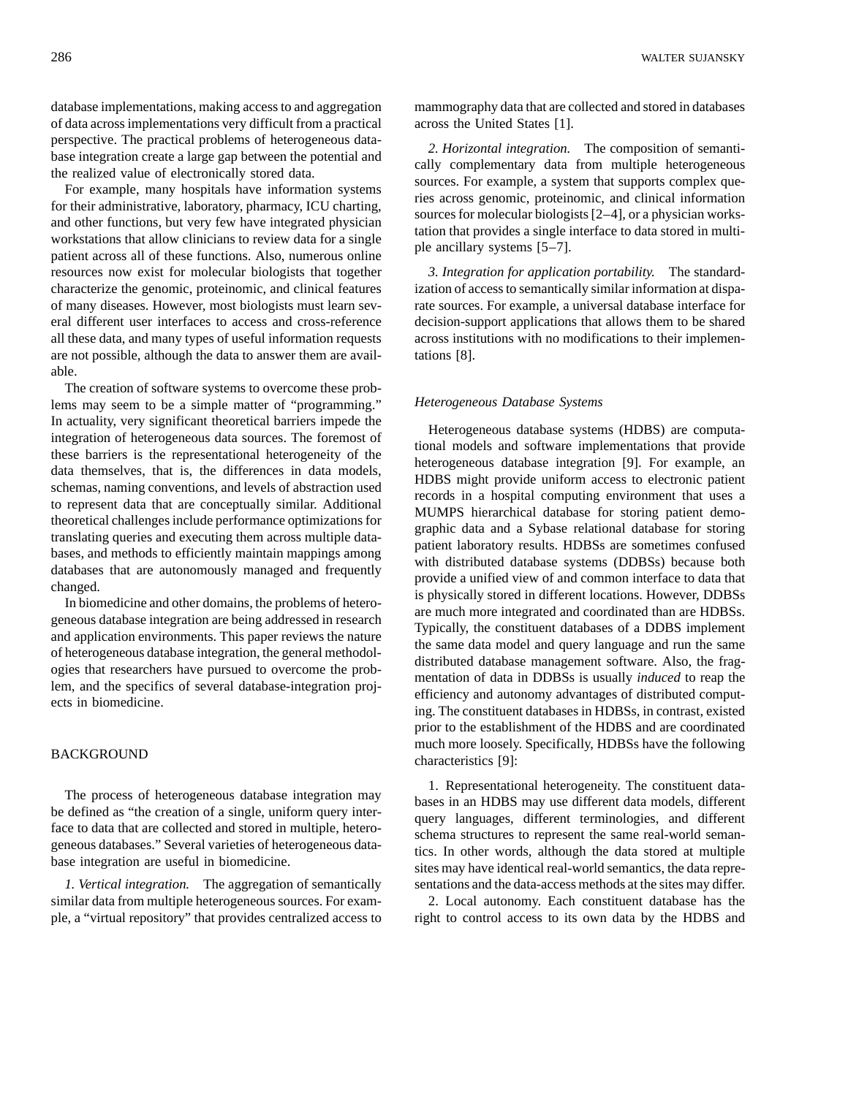database implementations, making access to and aggregation mammography data that are collected and stored in databases of data across implementations very difficult from a practical across the United States [1].

resources now exist for molecular biologists that together *3. Integration for application portability.* The standardcharacterize the genomic, proteinomic, and clinical features ization of access to semantically similar information at dispaof many diseases. However, most biologists must learn sev- rate sources. For example, a universal database interface for eral different user interfaces to access and cross-reference decision-support applications that allows them to be shared all these data, and many types of useful information requests across institutions with no modifications to their implemenare not possible, although the data to answer them are avail- tations [8]. able.

The creation of software systems to overcome these problems may seem to be a simple matter of "programming." Heterogeneous Database Systems

similar data from multiple heterogeneous sources. For exam-<br>2. Local autonomy. Each constituent database has the

perspective. The practical problems of heterogeneous data-<br>base integration create a large gap between the potential and<br>the realized value of electronically stored data.<br>For example, many hospitals have information system

In actuality, very significant theoretical barriers impede the<br>
integration of heterogeneous database systems (HDBS) are computa-<br>
integration of heterogeneous database integrations fat provide<br>
data themselves, that is, t prior to the establishment of the HDBS and are coordinated much more loosely. Specifically, HDBSs have the following<br>characteristics [9]:<br> $\frac{1}{2}$  characteristics [9]:

The process of heterogeneous database integration may<br>be defined as "the creation of a single, uniform query inter-<br>face to data that are collected and stored in multiple, hetero-<br>geneous databases." Several varieties of h *1. Vertical integration.* The aggregation of semantically sentations and the data-access methods at the sites may differ.

ple, a "virtual repository" that provides centralized access to right to control access to its own data by the HDBS and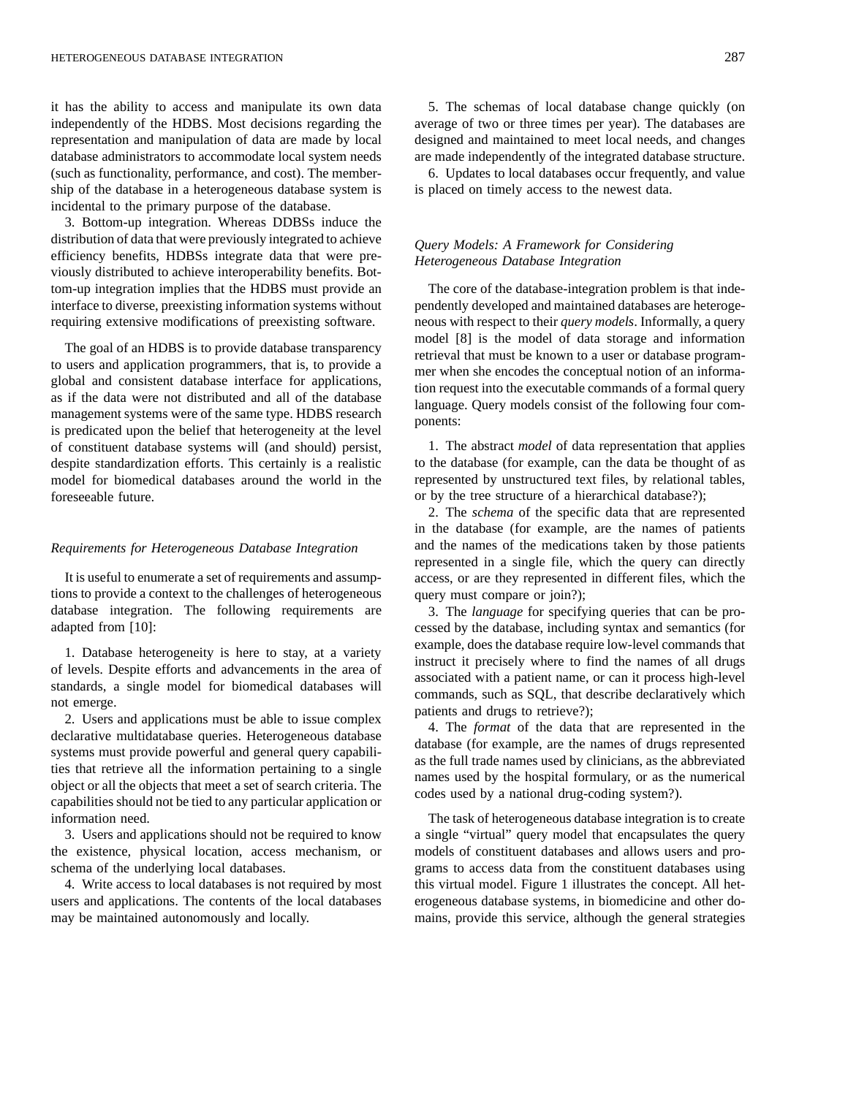independently of the HDBS. Most decisions regarding the average of two or three times per year). The databases are representation and manipulation of data are made by local designed and maintained to meet local needs, and changes database administrators to accommodate local system needs are made independently of the integrated database structure. (such as functionality, performance, and cost). The member- 6. Updates to local databases occur frequently, and value ship of the database in a heterogeneous database system is is placed on timely access to the newest data. incidental to the primary purpose of the database.

3. Bottom-up integration. Whereas DDBSs induce the distribution of data that were previously integrated to achieve<br>
efficiency benefits, HDBSs integrate data that were pre-<br>
viously distributed to achieve interoperability benefits. Bot-<br>
Heterogeneous Database Integration tom-up integration implies that the HDBS must provide an The core of the database-integration problem is that indeinterface to diverse, preexisting information systems without pendently developed and maintained databases are heterogerequiring extensive modifications of preexisting software. neous with respect to their *query models*. Informally, a query

of constituent database systems will (and should) persist, 1. The abstract *model* of data representation that applies despite standardization efforts. This certainly is a realistic to the database (for example, can the data be thought of as model for biomedical databases around the world in the represented by unstructured text files, by relational tables, foreseeable future. or by the tree structure of a hierarchical database?);

tions to provide a context to the challenges of heterogeneous query must compare or join?);<br>database integration. The following requirements are 3. The *language* for specify adapted from [10]: cessed by the database, including syntax and semantics (for

1. Database heterogeneity is here to stay, at a variety<br>of levels. Despite efforts and advancements in the area of<br>standards, a single model for biomedical databases will<br>not emerge.<br>2. Users and applications must be able information need. The task of heterogeneous database integration is to create

the existence, physical location, access mechanism, or models of constituent databases and allows users and proschema of the underlying local databases. <br>grams to access data from the constituent databases using

users and applications. The contents of the local databases erogeneous database systems, in biomedicine and other domay be maintained autonomously and locally. mains, provide this service, although the general strategies

it has the ability to access and manipulate its own data 5. The schemas of local database change quickly (on

The goal of an HDBS is to provide database transparency<br>to users and application programmers, that is, to provide a<br>global and consistent database interface for applications,<br>as if the data were not distributed and all of

2. The *schema* of the specific data that are represented in the database (for example, are the names of patients *Requirements for Heterogeneous Database Integration* and the names of the medications taken by those patients represented in a single file, which the query can directly It is useful to enumerate a set of requirements and assump- access, or are they represented in different files, which the

3. The *language* for specifying queries that can be pro-

3. Users and applications should not be required to know a single "virtual" query model that encapsulates the query 4. Write access to local databases is not required by most this virtual model. Figure 1 illustrates the concept. All het-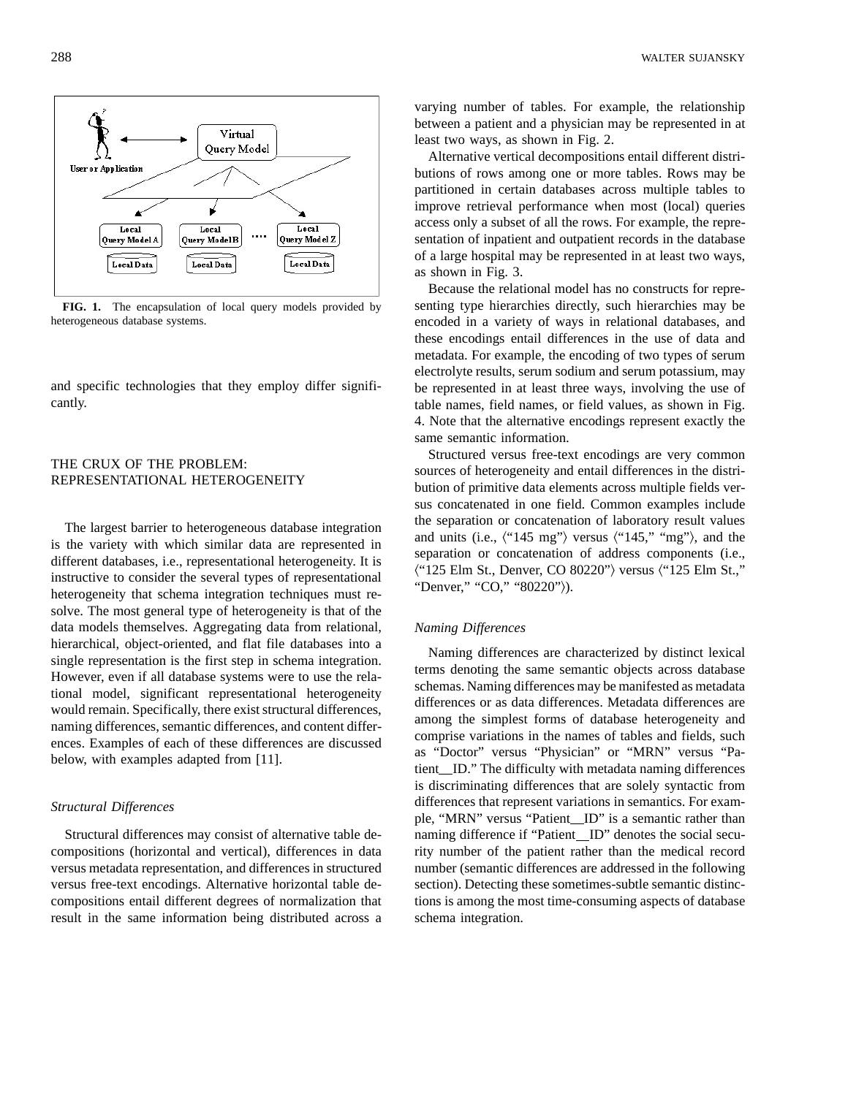

solve. The most general type of heterogeneity is that of the data models themselves. Aggregating data from relational, *Naming Differences* hierarchical, object-oriented, and flat file databases into a<br>
single representation is the first step in schema integration.<br>
However, even if all database systems were to use the rela-<br>
tional model, significant represen

compositions (horizontal and vertical), differences in data rity number of the patient rather than the medical record versus metadata representation, and differences in structured number (semantic differences are addressed in the following versus free-text encodings. Alternative horizontal table de- section). Detecting these sometimes-subtle semantic distinccompositions entail different degrees of normalization that tions is among the most time-consuming aspects of database result in the same information being distributed across a schema integration.

varying number of tables. For example, the relationship between a patient and a physician may be represented in at least two ways, as shown in Fig. 2.

Alternative vertical decompositions entail different distributions of rows among one or more tables. Rows may be partitioned in certain databases across multiple tables to improve retrieval performance when most (local) queries access only a subset of all the rows. For example, the representation of inpatient and outpatient records in the database of a large hospital may be represented in at least two ways, as shown in Fig. 3.

Because the relational model has no constructs for repre-**FIG. 1.** The encapsulation of local query models provided by senting type hierarchies directly, such hierarchies may be heterogeneous database systems. encoded in a variety of ways in relational databases, and these encodings entail differences in the use of data and metadata. For example, the encoding of two types of serum electrolyte results, serum sodium and serum potassium, may and specific technologies that they employ differ signifi- be represented in at least three ways, involving the use of cantly. table names, field names, or field values, as shown in Fig. 4. Note that the alternative encodings represent exactly the same semantic information.

THE CRUX OF THE PROBLEM:<br>
REPRESENTATIONAL HETEROGENEITY<br>
REPRESENTATIONAL HETEROGENEITY<br>
Structured versus free-text encodings are very common<br>
sources of heterogeneity and entail differences in the distri-<br>
bution of pri sus concatenated in one field. Common examples include The largest barrier to heterogeneous database integration<br>is the separation or concatenation of laboratory result values<br>in the variety with which similar data are represented in<br>different databases, i.e., representational

is discriminating differences that are solely syntactic from *Structural Differences*<br>gle, "MRN" versus "Patient ID" is a semantic rather than<br>ple, "MRN" versus "Patient ID" is a semantic rather than Structural differences may consist of alternative table de- naming difference if "Patient ID" denotes the social secu-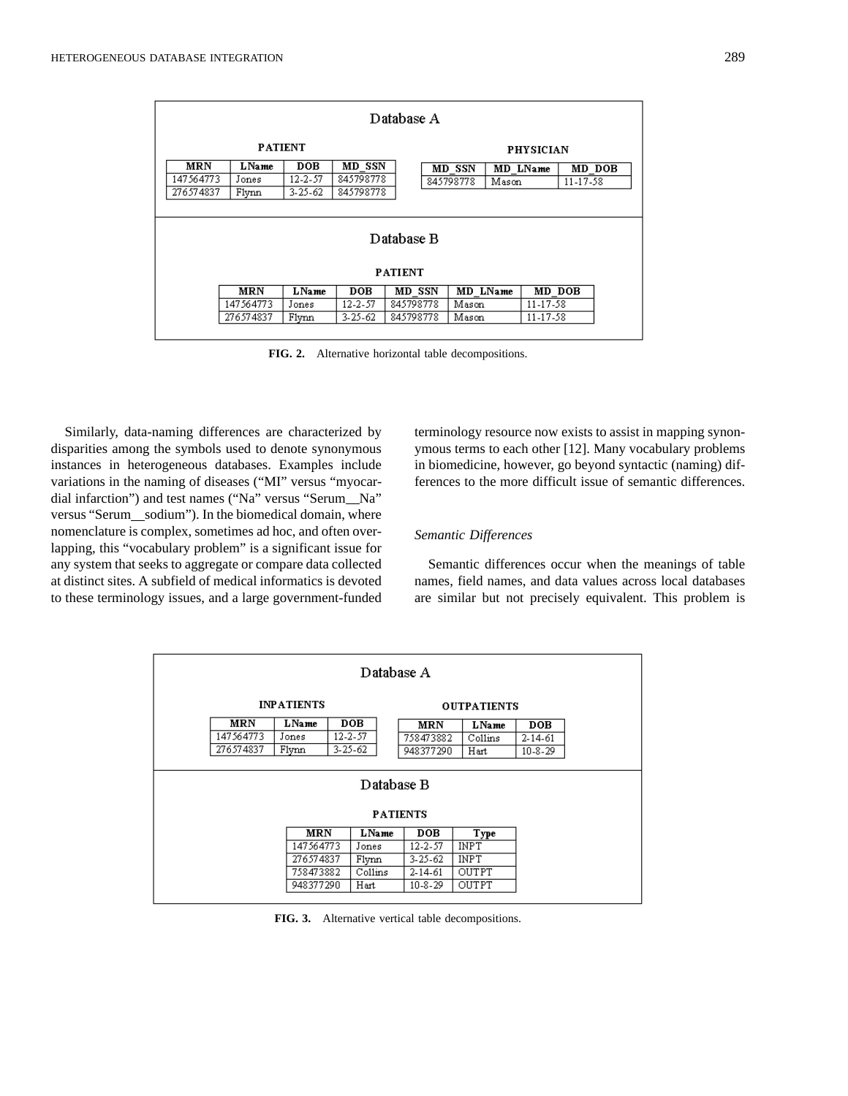| Database A     |            |                  |           |           |  |           |          |          |          |        |
|----------------|------------|------------------|-----------|-----------|--|-----------|----------|----------|----------|--------|
|                |            | <b>PHYSICIAN</b> |           |           |  |           |          |          |          |        |
| MRN            | LName      | DOB              | MD SSN    |           |  | MD SSN    |          | MD LName |          | MD DOB |
| 147564773      | Jones      | $12 - 2 - 57$    | 845798778 |           |  | 845798778 | Mason    |          | 11-17-58 |        |
| 276574837      | Flynn      | $3 - 25 - 62$    | 845798778 |           |  |           |          |          |          |        |
| Database B     |            |                  |           |           |  |           |          |          |          |        |
| <b>PATIENT</b> |            |                  |           |           |  |           |          |          |          |        |
|                | <b>MRN</b> | LName            | DOB       | MD SSN    |  |           | MD_LName | MD DOB   |          |        |
|                | 147564773  | Jones            | 12-2-57   | 845798778 |  | Mason     |          | 11-17-58 |          |        |
|                | 276574837  | Flynn            | 3-25-62   | 845798778 |  | Mason     |          | 11-17-58 |          |        |
|                |            |                  |           |           |  |           |          |          |          |        |

**FIG. 2.** Alternative horizontal table decompositions.

instances in heterogeneous databases. Examples include in biomedicine, however, go beyond syntactic (naming) dif-<br>variations in the naming of diseases ("MI" versus "myocar-<br>ferences to the more difficult issue of semantic variations in the naming of diseases ("MI" versus "myocardial infarction") and test names ("Na" versus "Serum Na" versus "Serum sodium"). In the biomedical domain, where nomenclature is complex, sometimes ad hoc, and often over- *Semantic Differences* lapping, this "vocabulary problem" is a significant issue for<br>any system that seeks to aggregate or compare data collected at distinct sites. A subfield of medical informatics is devoted names, field names, and data values across local databases to these terminology issues, and a large government-funded are similar but not precisely equivalent to these terminology issues, and a large government-funded

Similarly, data-naming differences are characterized by terminology resource now exists to assist in mapping synon-<br>disparities among the symbols used to denote synonymous ymous terms to each other [12]. Many vocabulary pr ymous terms to each other [12]. Many vocabulary problems in biomedicine, however, go beyond syntactic (naming) dif-

Semantic differences occur when the meanings of table

|                               |                   | Database A    |                    |               |               |  |  |
|-------------------------------|-------------------|---------------|--------------------|---------------|---------------|--|--|
|                               | <b>INPATIENTS</b> |               | <b>OUTPATIENTS</b> |               |               |  |  |
| <b>MRN</b>                    | LName             | DOB           | <b>MRN</b>         | <b>L</b> Name | <b>DOB</b>    |  |  |
| 147564773                     | Jones             | $12 - 2 - 57$ | 758473882          | Collins       | $2 - 14 - 61$ |  |  |
| 276574837                     | Flynn             | $3 - 25 - 62$ | 948377290          | Hart          | $10 - 8 - 29$ |  |  |
| Database B<br><b>PATIENTS</b> |                   |               |                    |               |               |  |  |
|                               |                   |               |                    |               |               |  |  |
|                               | <b>MRN</b>        | LName         | DOB                | Type          |               |  |  |
|                               | 147564773         | Jones         | $12 - 2 - 57$      | <b>INPT</b>   |               |  |  |
|                               | 276574837         | Flynn         | $3 - 25 - 62$      | <b>INPT</b>   |               |  |  |
|                               | 758473882         | Collins       | $2 - 14 - 61$      | OUTPT         |               |  |  |

**FIG. 3.** Alternative vertical table decompositions.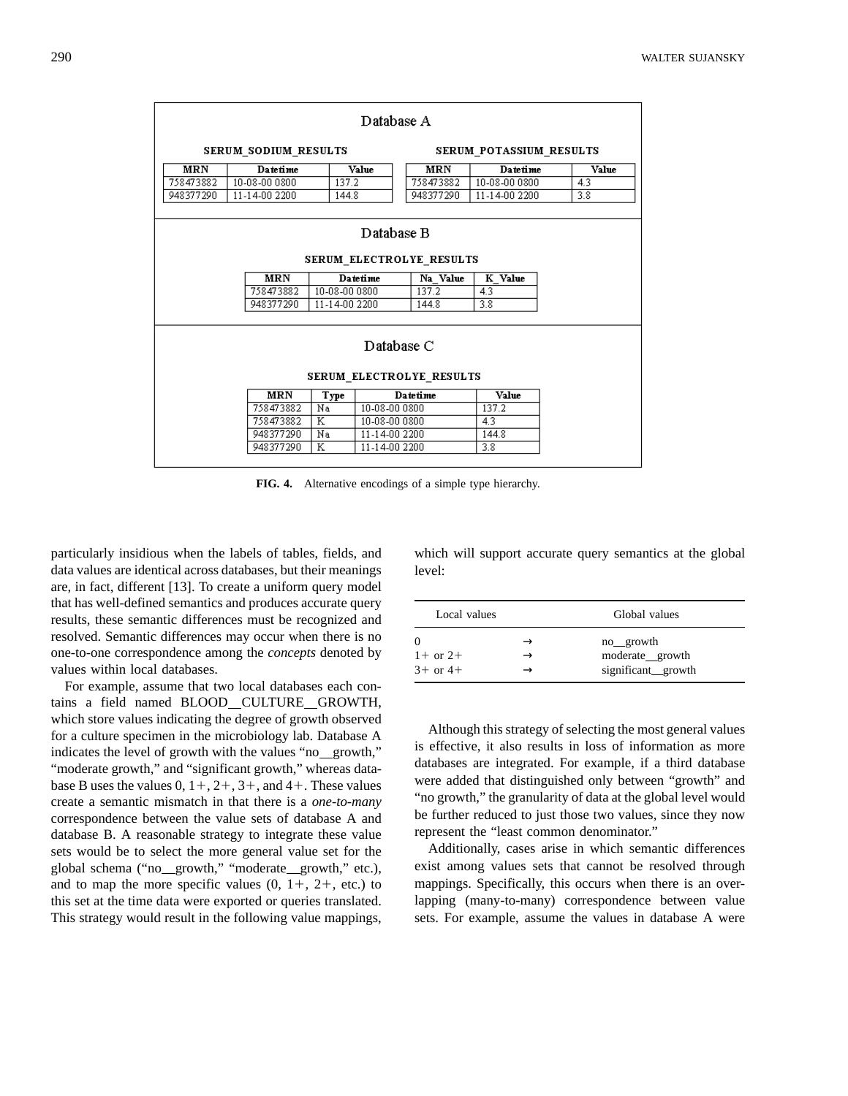| Database A                 |                        |                         |               |                         |               |       |  |  |  |  |
|----------------------------|------------------------|-------------------------|---------------|-------------------------|---------------|-------|--|--|--|--|
|                            | SERUM SODIUM RESULTS   |                         |               | SERUM POTASSIUM RESULTS |               |       |  |  |  |  |
| <b>MRN</b>                 | Datetime               |                         | Value         | <b>MRN</b>              | Datetime      | Value |  |  |  |  |
| 758473882                  | 10-08-00 0800          | 137.2                   |               | 758473882               | 10-08-00 0800 | 4.3   |  |  |  |  |
| 948377290                  | 11-14-00 2200<br>144.8 |                         |               | 948377290               | 11-14-00 2200 | 3.8   |  |  |  |  |
| Database B                 |                        |                         |               |                         |               |       |  |  |  |  |
| SERUM ELECTROLYE RESULTS   |                        |                         |               |                         |               |       |  |  |  |  |
|                            | <b>MRN</b>             |                         | Datetime      | Na Value                | K Value       |       |  |  |  |  |
| 758473882<br>10-08-00 0800 |                        |                         |               | 137.2                   | 4.3           |       |  |  |  |  |
|                            | 948377290              | 11-14-00 2200           | 144.8         | 3.8                     |               |       |  |  |  |  |
|                            |                        |                         |               |                         |               |       |  |  |  |  |
| Database C                 |                        |                         |               |                         |               |       |  |  |  |  |
|                            |                        |                         |               |                         |               |       |  |  |  |  |
| SERUM ELECTROLYE RESULTS   |                        |                         |               |                         |               |       |  |  |  |  |
|                            | Type                   |                         | Datetime      | Value                   |               |       |  |  |  |  |
|                            | Nа                     | 10-08-00 0800           |               | 137.2                   |               |       |  |  |  |  |
|                            | 758473882              | $\overline{\mathbf{K}}$ | 10-08-00 0800 |                         | 4.3           |       |  |  |  |  |
|                            | 948377290              | Na                      | 11-14-00 2200 |                         | 144.8         |       |  |  |  |  |
|                            | 948377290              | К                       | 11-14-00 2200 | 3.8                     |               |       |  |  |  |  |
|                            |                        |                         |               |                         |               |       |  |  |  |  |

**FIG. 4.** Alternative encodings of a simple type hierarchy.

particularly insidious when the labels of tables, fields, and which will support accurate query semantics at the global data values are identical across databases, but their meanings level: are, in fact, different [13]. To create a uniform query model that has well-defined semantics and produces accurate query results, these semantic differences must be recognized and resolved. Semantic differences may occur when there is no one-to-one correspondence among the *concepts* denoted by values within local databases.

For example, assume that two local databases each contains a field named BLOOD\_CULTURE\_GROWTH, which store values indicating the degree of growth observed<br>for a culture specimen in the microbiology lab. Database A<br>indicates the level of growth with the values "no\_growth,"<br>"moderate growth," and "significant growth," correspondence between the value sets of database A and be further reduced to just those two values, database B. A reasonable strategy to integrate these value database B. A reasonable strategy to integrate these value represent the "least common denominator."<br>sets would be to select the more general value set for the Additionally, cases arise in which semantic differences sets would be to select the more general value set for the<br>global schema ("no growth," "moderate growth," etc.), exist among values sets that cannot be resolved through global schema ("no\_growth," "moderate\_growth," etc.), exist among values sets that cannot be resolved through and to map the more specific values  $(0, 1+, 2+, etc.)$  to mappings. Specifically, this occurs when there is an overand to map the more specific values  $(0, 1+, 2+, \text{ etc.})$  to this set at the time data were exported or queries translated. lapping (many-to-many) correspondence between value

| Local values |               | Global values      |
|--------------|---------------|--------------------|
| 0            | $\rightarrow$ | no growth          |
| $1+$ or $2+$ | $\rightarrow$ | moderate_growth    |
| $3+$ or $4+$ | $\rightarrow$ | significant growth |

The granularity of data at the global level would<br>correspondence between the value sets of database. A and the further reduced to just those two values, since they now

This strategy would result in the following value mappings, sets. For example, assume the values in database A were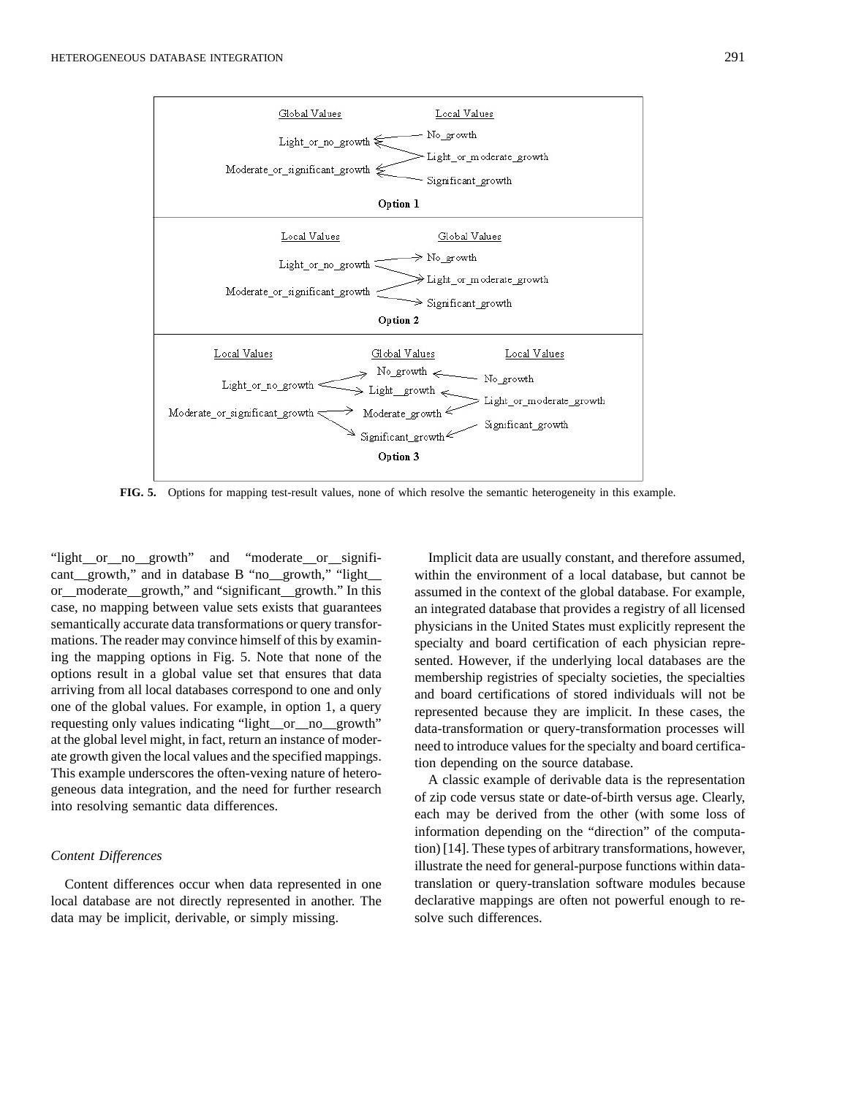

**FIG. 5.** Options for mapping test-result values, none of which resolve the semantic heterogeneity in this example.

mations. The reader may convince himself of this by examin-<br>ing the mapping options in Fig. 5. Note that none of the sented However, if the underlying local databases are the one of the global values. For example, in option 1, a query<br>
represented because they are implicit. In these cases, the<br>
requesting only values indicating "light\_or\_no\_growth"<br>
at the global level might, in fact, return an

data may be implicit, derivable, or simply missing. solve such differences.

"light or no growth" and "moderate or signifi-<br>Implicit data are usually constant, and therefore assumed, cant growth," and in database B "no growth," "light within the environment of a local database, but cannot be or\_moderate\_growth," and "significant\_growth." In this assumed in the context of the global database. For example, case, no mapping between value sets exists that guarantees an integrated database that provides a registry of all licensed semantically accurate data transformations or query transfor-<br>mations. The reader may convince himself of this by examin-<br>specialty and board certification of each physician repreing the mapping options in Fig. 5. Note that none of the sented. However, if the underlying local databases are the options result in a global value set that ensures that data membership registries of specialty societies, the specialties arriving from all local databases correspond to one and only and board certifications of stored individuals will not be one of the global values. For example, in option 1, a query correspond because they are implicit. In t

information depending on the "direction" of the computation) [14]. These types of arbitrary transformations, however, *Content Differences* illustrate the need for general-purpose functions within data-Content differences occur when data represented in one translation or query-translation software modules because local database are not directly represented in another. The declarative mappings are often not powerful enough to re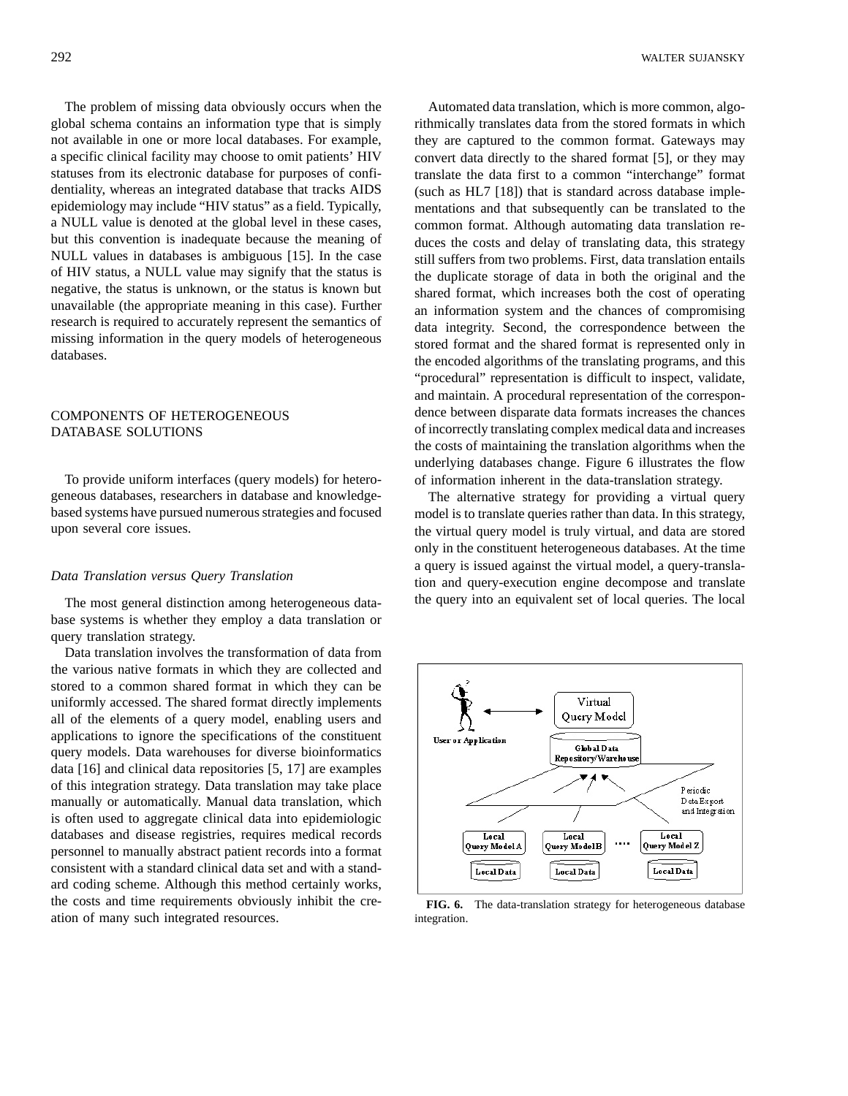global schema contains an information type that is simply rithmically translates data from the stored formats in which not available in one or more local databases. For example, they are captured to the common format. Gateways may a specific clinical facility may choose to omit patients' HIV convert data directly to the shared format [5], or they may statuses from its electronic database for purposes of confi-<br>dentiality, whereas an integrated database that tracks AIDS (such as HI 7 [18]) that is standard across database impledentiality, whereas an integrated database that tracks AIDS (such as HL7 [18]) that is standard across database imple-<br>epidemiology may include "HIV status" as a field. Typically, mentations and that subsequently can be tr epidemiology may include "HIV status" as a field. Typically, mentations and that subsequently can be translated to the a NULL value is denoted at the global level in these cases, common format. Although automating data tra a NULL value is denoted at the global level in these cases, common format. Although automating data translation re-<br>but this convention is inadequate because the meaning of duces the costs and delay of translating data thi but this convention is inadequate because the meaning of duces the costs and delay of translating data, this strategy<br>NULL values in databases is ambiguous [15]. In the case still suffers from two problems First data trans NULL values in databases is ambiguous [15]. In the case still suffers from two problems. First, data translation entails<br>of HIV status, a NULL value may signify that the status is the duplicate storage of data in both the

geneous databases, researchers in database and knowledge- The alternative strategy for providing a virtual query based systems have pursued numerous strategies and focused model is to translate queries rather than data. In this strategy,<br>the virtual query model is truly virtual and data are stored

base systems is whether they employ a data translation or query translation strategy.

Data translation involves the transformation of data from the various native formats in which they are collected and stored to a common shared format in which they can be uniformly accessed. The shared format directly implements all of the elements of a query model, enabling users and applications to ignore the specifications of the constituent query models. Data warehouses for diverse bioinformatics data [16] and clinical data repositories [5, 17] are examples of this integration strategy. Data translation may take place manually or automatically. Manual data translation, which is often used to aggregate clinical data into epidemiologic databases and disease registries, requires medical records personnel to manually abstract patient records into a format consistent with a standard clinical data set and with a standard coding scheme. Although this method certainly works, the costs and time requirements obviously inhibit the cre- **FIG. 6.** The data-translation strategy for heterogeneous database ation of many such integrated resources. integration.

The problem of missing data obviously occurs when the Automated data translation, which is more common, algoof HIV status, a NULL value may signify that the status is<br>
megative, the status is unknown, or the status is known but<br>
mavailable (the appropriate meaning in this case). Further<br>
research is required to accurately repres "procedural" representation is difficult to inspect, validate, and maintain. A procedural representation of the correspon-COMPONENTS OF HETEROGENEOUS dence between disparate data formats increases the chances DATABASE SOLUTIONS of incorrectly translating complex medical data and increases the costs of maintaining the translation algorithms when the underlying databases change. Figure 6 illustrates the flow To provide uniform interfaces (query models) for hetero- of information inherent in the data-translation strategy.

the virtual query model is truly virtual, and data are stored only in the constituent heterogeneous databases. At the time a query is issued against the virtual model, a query-transla- *Data Translation versus Query Translation* tion and query-execution engine decompose and translate The most general distinction among heterogeneous data-<br>the query into an equivalent set of local queries. The local

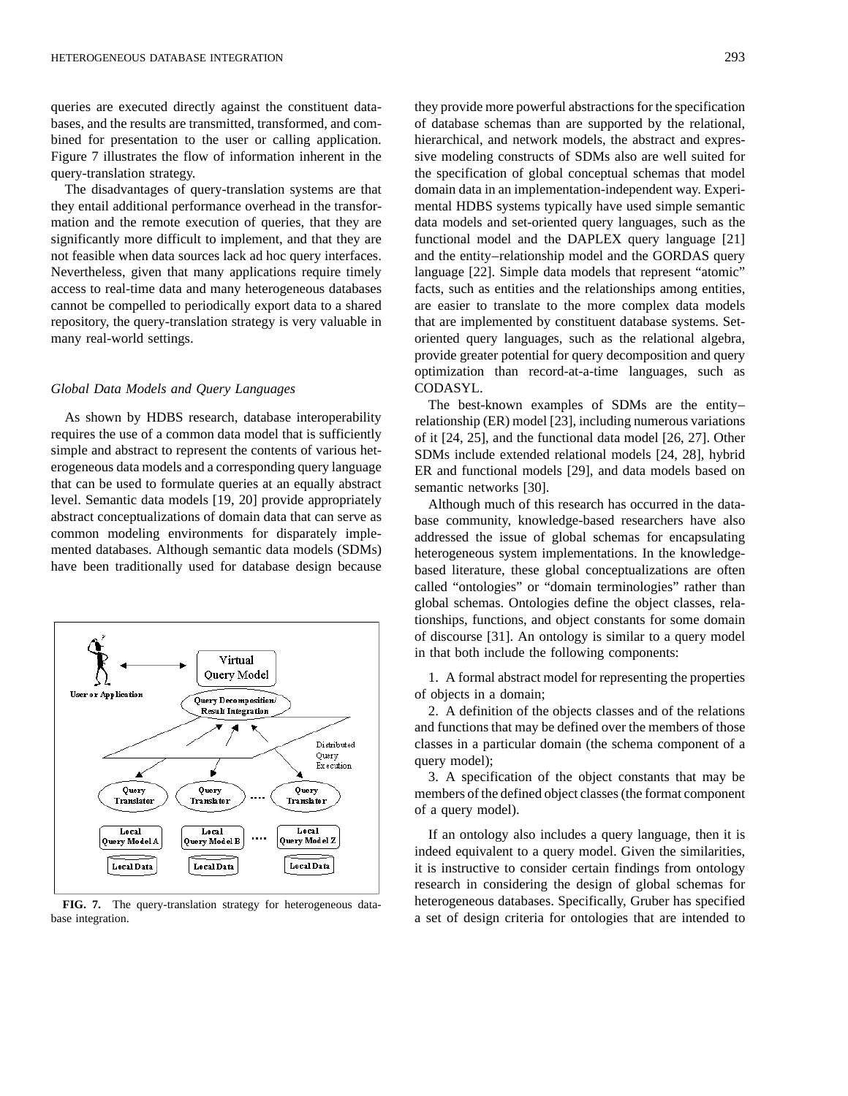queries are executed directly against the constituent data- they provide more powerful abstractions for the specification

they entail additional performance overhead in the transfor- mental HDBS systems typically have used simple semantic mation and the remote execution of queries, that they are data models and set-oriented query languages, such as the significantly more difficult to implement, and that they are functional model and the DAPLEX query language [21] not feasible when data sources lack ad hoc query interfaces. and the entity–relationship model and the GORDAS query Nevertheless, given that many applications require timely language [22]. Simple data models that represent "atomic" access to real-time data and many heterogeneous databases facts, such as entities and the relationships among entities, cannot be compelled to periodically export data to a shared are easier to translate to the more complex data models repository, the query-translation strategy is very valuable in that are implemented by constituent database systems. Setmany real-world settings. The same of the contract of the relational settings and the relational algebra, the relational algebra,

### *Global Data Models and Query Languages* CODASYL.

simple and abstract to represent the contents of various het-<br>SDMs include extended relational models [24, 28], hybrid erogeneous data models and a corresponding query language ER and functional models [29], and data models based on that can be used to formulate queries at an equally abstract semantic networks [30]. level. Semantic data models [19, 20] provide appropriately although much of this research has occurred in the data-<br>abstract conceptualizations of domain data that can serve as has community knowledge-based researchers hav abstract conceptualizations of domain data that can serve as base community, knowledge-based researchers have also<br>common modeling environments for disparately imple-<br>addressed the issue of global schemas for encapsulating mented databases. Although semantic data models (SDMs) heterogeneous system implementations. In the knowledge-<br>have been traditionally used for database design because hased literature these global concentualizations are o



bases, and the results are transmitted, transformed, and com- of database schemas than are supported by the relational, bined for presentation to the user or calling application. hierarchical, and network models, the abstract and expres-Figure 7 illustrates the flow of information inherent in the sive modeling constructs of SDMs also are well suited for query-translation strategy. the specification of global conceptual schemas that model The disadvantages of query-translation systems are that domain data in an implementation-independent way. Experiprovide greater potential for query decomposition and query optimization than record-at-a-time languages, such as

The best-known examples of SDMs are the entity– As shown by HDBS research, database interoperability relationship (ER) model [23], including numerous variations requires the use of a common data model that is sufficiently of it [24, 25], and the functional data model [2 of it  $[24, 25]$ , and the functional data model  $[26, 27]$ . Other

> addressed the issue of global schemas for encapsulating based literature, these global conceptualizations are often called "ontologies" or "domain terminologies" rather than global schemas. Ontologies define the object classes, relationships, functions, and object constants for some domain of discourse [31]. An ontology is similar to a query model in that both include the following components:

> 1. A formal abstract model for representing the properties of objects in a domain;

> 2. A definition of the objects classes and of the relations and functions that may be defined over the members of those classes in a particular domain (the schema component of a query model);

> 3. A specification of the object constants that may be members of the defined object classes (the format component of a query model).

If an ontology also includes a query language, then it is indeed equivalent to a query model. Given the similarities, it is instructive to consider certain findings from ontology research in considering the design of global schemas for FIG. 7. The query-translation strategy for heterogeneous data-<br>heterogeneous databases. Specifically, Gruber has specified base integration. a set of design criteria for ontologies that are intended to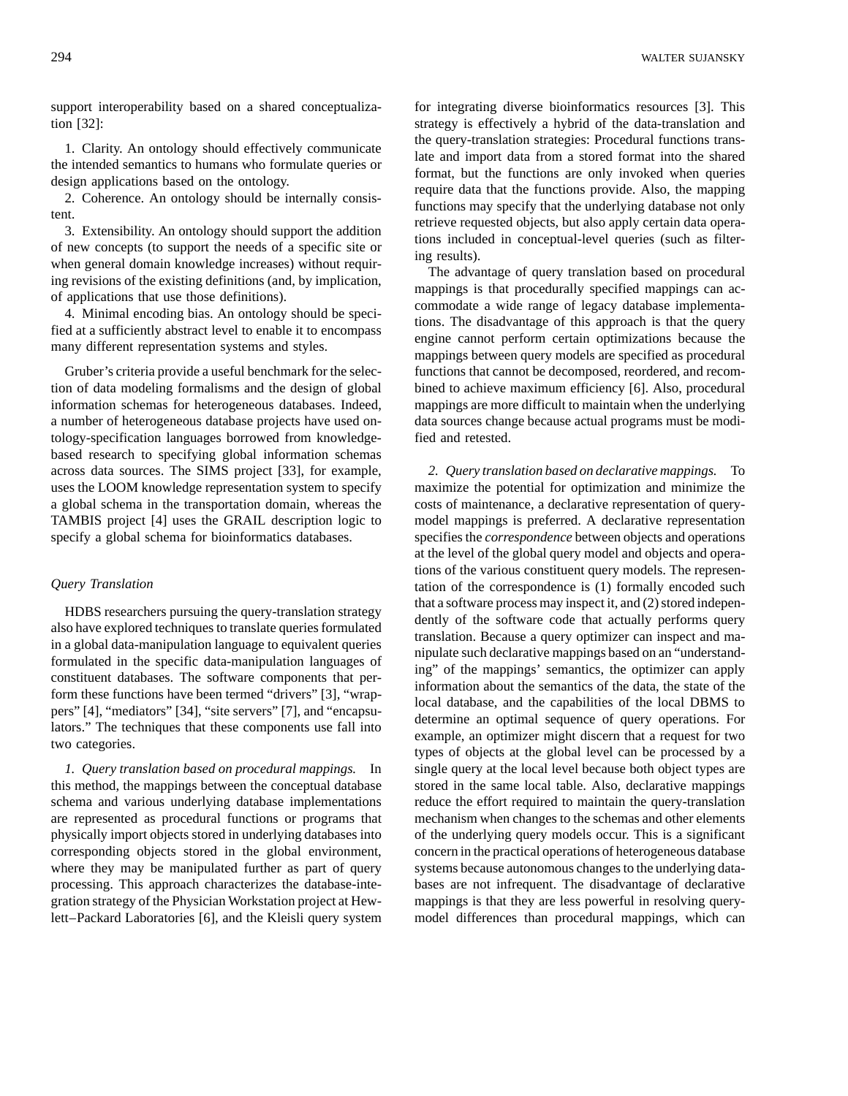tion [32]: strategy is effectively a hybrid of the data-translation and

tion of data modeling formalisms and the design of global bined to achieve maximum efficiency [6]. Also, procedural information schemas for heterogeneous databases. Indeed, mappings are more difficult to maintain when the underlying a number of heterogeneous database projects have used on- data sources change because actual programs must be moditology-specification languages borrowed from knowledge- fied and retested. based research to specifying global information schemas across data sources. The SIMS project [33], for example, *2. Query translation based on declarative mappings.* To uses the LOOM knowledge representation system to specify maximize the potential for optimization and minimize the a global schema in the transportation domain, whereas the costs of maintenance, a declarative representation of query-TAMBIS project [4] uses the GRAIL description logic to model mappings is preferred. A declarative representation specify a global schema for bioinformatics databases. specifies the *correspondence* between objects and operations

this method, the mappings between the conceptual database stored in the same local table. Also, declarative mappings schema and various underlying database implementations reduce the effort required to maintain the query-translation are represented as procedural functions or programs that mechanism when changes to the schemas and other elements physically import objects stored in underlying databases into of the underlying query models occur. This is a significant corresponding objects stored in the global environment, concern in the practical operations of heterogeneous database where they may be manipulated further as part of query systems because autonomous changes to the underlying dataprocessing. This approach characterizes the database-inte- bases are not infrequent. The disadvantage of declarative gration strategy of the Physician Workstation project at Hew- mappings is that they are less powerful in resolving querylett–Packard Laboratories [6], and the Kleisli query system model differences than procedural mappings, which can

support interoperability based on a shared conceptualiza- for integrating diverse bioinformatics resources [3]. This 1. Clarity. An ontology should effectively communicate the query-translation strategies: Procedural functions trans-<br>the intended semantics to humans who formulate queries or<br>the and import data from a stored format into t

Gruber's criteria provide a useful benchmark for the selec- functions that cannot be decomposed, reordered, and recom-

at the level of the global query model and objects and operations of the various constituent query models. The represen-*Query Translation* tation of the correspondence is (1) formally encoded such HDBS researchers pursuing the query-translation strategy<br>also have explored techniques to translate queries formulated<br>in a global data-manipulation language to equivalent queries<br>formulated<br>in a global data-manipulation l *1. Query translation based on procedural mappings.* In single query at the local level because both object types are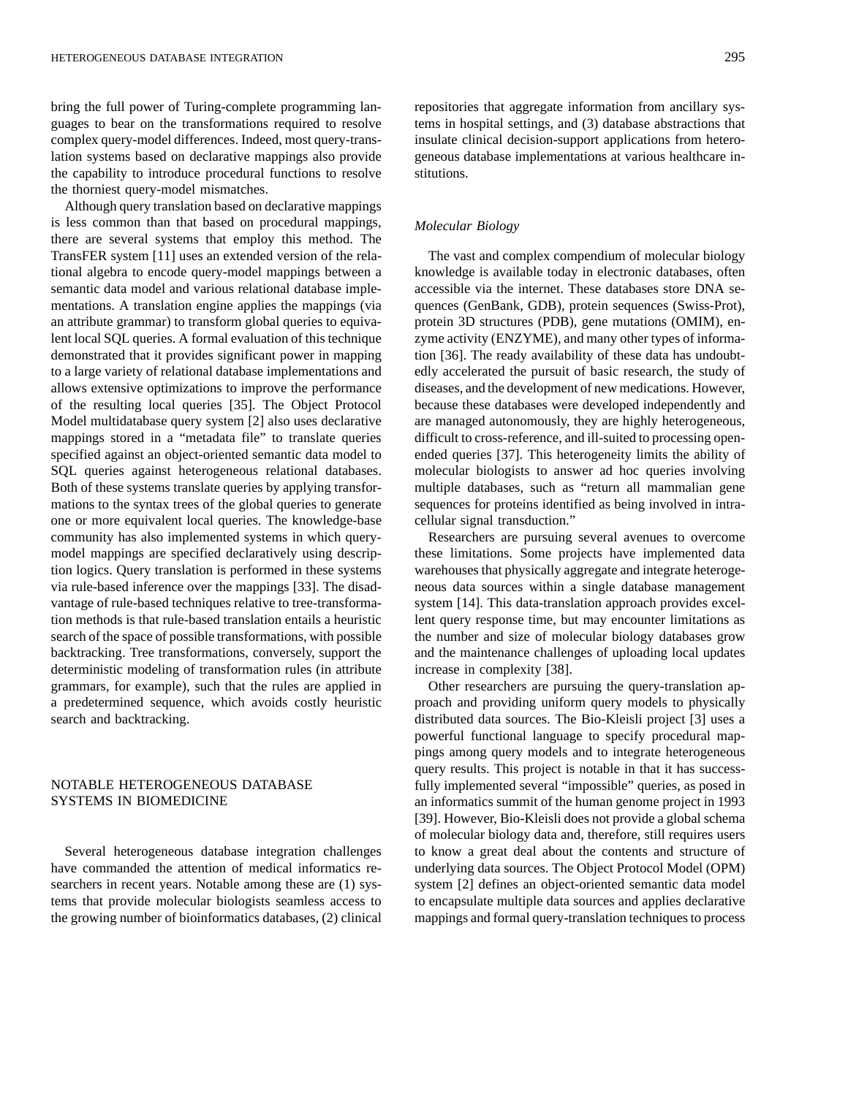bring the full power of Turing-complete programming lan- repositories that aggregate information from ancillary sysguages to bear on the transformations required to resolve tems in hospital settings, and (3) database abstractions that complex query-model differences. Indeed, most query-trans- insulate clinical decision-support applications from heterolation systems based on declarative mappings also provide geneous database implementations at various healthcare inthe capability to introduce procedural functions to resolve stitutions. the thorniest query-model mismatches.

Although query translation based on declarative mappings is less common than that based on procedural mappings, *Molecular Biology* there are several systems that employ this method. The TransFER system [11] uses an extended version of the rela- The vast and complex compendium of molecular biology tional algebra to encode query-model mappings between a knowledge is available today in electronic databases, often<br>semantic data model and various relational database imple-<br>accessible via the internet. These databases st semantic data model and various relational database implementations. A translation engine applies the mappings (via quences (GenBank, GDB), protein sequences (Swiss-Prot), an attribute grammar) to transform global queries to equiva- protein 3D structures (PDB), gene mutations (OMIM), enlent local SQL queries. A formal evaluation of this technique zyme activity (ENZYME), and many other types of informademonstrated that it provides significant power in mapping tion [36]. The ready availability of these data has undoubtto a large variety of relational database implementations and edly accelerated the pursuit of basic research, the study of allows extensive optimizations to improve the performance diseases, and the development of new medications. However, of the resulting local queries [35]. The Object Protocol because these databases were developed independently and Model multidatabase query system [2] also uses declarative are managed autonomously, they are highly heterogeneous, mappings stored in a "metadata file" to translate queries difficult to cross-reference, and ill-suited to processing openspecified against an object-oriented semantic data model to ended queries [37]. This heterogeneity limits the ability of SQL queries against heterogeneous relational databases. molecular biologists to answer ad hoc queries involving Both of these systems translate queries by applying transfor- multiple databases, such as "return all mammalian gene mations to the syntax trees of the global queries to generate sequences for proteins identified as being involved in intraone or more equivalent local queries. The knowledge-base cellular signal transduction." community has also implemented systems in which query- Researchers are pursuing several avenues to overcome model mappings are specified declaratively using descrip- these limitations. Some projects have implemented data tion logics. Query translation is performed in these systems warehouses that physically aggregate and integrate heterogevia rule-based inference over the mappings [33]. The disad- neous data sources within a single database management vantage of rule-based techniques relative to tree-transforma- system [14]. This data-translation approach provides exceltion methods is that rule-based translation entails a heuristic lent query response time, but may encounter limitations as search of the space of possible transformations, with possible the number and size of molecular biology databases grow backtracking. Tree transformations, conversely, support the and the maintenance challenges of uploading local updates deterministic modeling of transformation rules (in attribute increase in complexity [38]. grammars, for example), such that the rules are applied in Other researchers are pursuing the query-translation apa predetermined sequence, which avoids costly heuristic proach and providing uniform query models to physically search and backtracking. The Bio-Kleisli project [3] uses a distributed data sources. The Bio-Kleisli project [3] uses a

have commanded the attention of medical informatics re- underlying data sources. The Object Protocol Model (OPM) searchers in recent years. Notable among these are (1) sys-<br>system [2] defines an object-oriented semantic data model tems that provide molecular biologists seamless access to to encapsulate multiple data sources and applies declarative the growing number of bioinformatics databases, (2) clinical mappings and formal query-translation techniques to process

powerful functional language to specify procedural mappings among query models and to integrate heterogeneous query results. This project is notable in that it has success-NOTABLE HETEROGENEOUS DATABASE fully implemented several "impossible" queries, as posed in SYSTEMS IN BIOMEDICINE an informatics summit of the human genome project in 1993 [39]. However, Bio-Kleisli does not provide a global schema of molecular biology data and, therefore, still requires users Several heterogeneous database integration challenges to know a great deal about the contents and structure of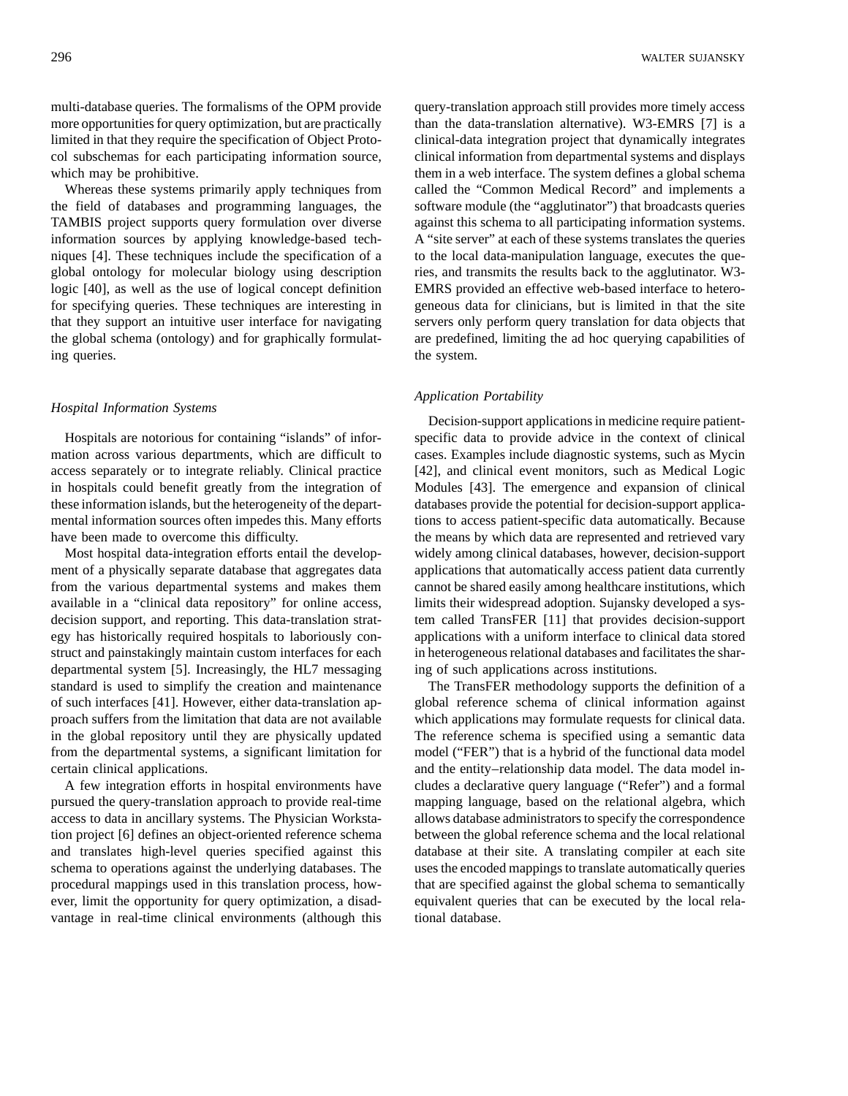multi-database queries. The formalisms of the OPM provide query-translation approach still provides more timely access more opportunities for query optimization, but are practically than the data-translation alternative). W3-EMRS [7] is a limited in that they require the specification of Object Proto- clinical-data integration project that dynamically integrates col subschemas for each participating information source, clinical information from departmental systems and displays which may be prohibitive. them in a web interface. The system defines a global schema

the field of databases and programming languages, the software module (the "agglutinator") that broadcasts queries TAMBIS project supports query formulation over diverse against this schema to all participating information systems. information sources by applying knowledge-based tech- A "site server" at each of these systems translates the queries niques [4]. These techniques include the specification of a to the local data-manipulation language, executes the queglobal ontology for molecular biology using description ries, and transmits the results back to the agglutinator. W3 logic [40], as well as the use of logical concept definition EMRS provided an effective web-based interface to heterofor specifying queries. These techniques are interesting in geneous data for clinicians, but is limited in that the site that they support an intuitive user interface for navigating servers only perform query translation for data objects that the global schema (ontology) and for graphically formulat- are predefined, limiting the ad hoc querying capabilities of ing queries. the system.

# *Application Portability Hospital Information Systems*

mation across various departments, which are difficult to cases. Examples include diagnostic systems, such as Mycin access separately or to integrate reliably. Clinical practice [42], and clinical event monitors, such as Medical Logic in hospitals could benefit greatly from the integration of Modules [43]. The emergence and expansion of clinical these information islands, but the heterogeneity of the depart- databases provide the potential for decision-support applicamental information sources often impedes this. Many efforts tions to access patient-specific data automatically. Because have been made to overcome this difficulty. the means by which data are represented and retrieved vary

ment of a physically separate database that aggregates data applications that automatically access patient data currently from the various departmental systems and makes them cannot be shared easily among healthcare institutions, which available in a "clinical data repository" for online access, limits their widespread adoption. Sujansky developed a sysdecision support, and reporting. This data-translation strat-<br>tem called TransFER [11] that provides decision-support egy has historically required hospitals to laboriously con- applications with a uniform interface to clinical data stored struct and painstakingly maintain custom interfaces for each in heterogeneous relational databases and facilitates the shardepartmental system [5]. Increasingly, the HL7 messaging ing of such applications across institutions. standard is used to simplify the creation and maintenance The TransFER methodology supports the definition of a of such interfaces [41]. However, either data-translation ap- global reference schema of clinical information against proach suffers from the limitation that data are not available which applications may formulate requests for clinical data. in the global repository until they are physically updated The reference schema is specified using a semantic data from the departmental systems, a significant limitation for model ("FER") that is a hybrid of the functional data model certain clinical applications. and the entity–relationship data model. The data model in-

pursued the query-translation approach to provide real-time mapping language, based on the relational algebra, which access to data in ancillary systems. The Physician Worksta- allows database administrators to specify the correspondence tion project [6] defines an object-oriented reference schema between the global reference schema and the local relational and translates high-level queries specified against this database at their site. A translating compiler at each site schema to operations against the underlying databases. The uses the encoded mappings to translate automatically queries procedural mappings used in this translation process, how- that are specified against the global schema to semantically ever, limit the opportunity for query optimization, a disad- equivalent queries that can be executed by the local relavantage in real-time clinical environments (although this tional database.

Whereas these systems primarily apply techniques from called the "Common Medical Record" and implements a

Decision-support applications in medicine require patient-Hospitals are notorious for containing "islands" of infor- specific data to provide advice in the context of clinical Most hospital data-integration efforts entail the develop- widely among clinical databases, however, decision-support

A few integration efforts in hospital environments have cludes a declarative query language ("Refer") and a formal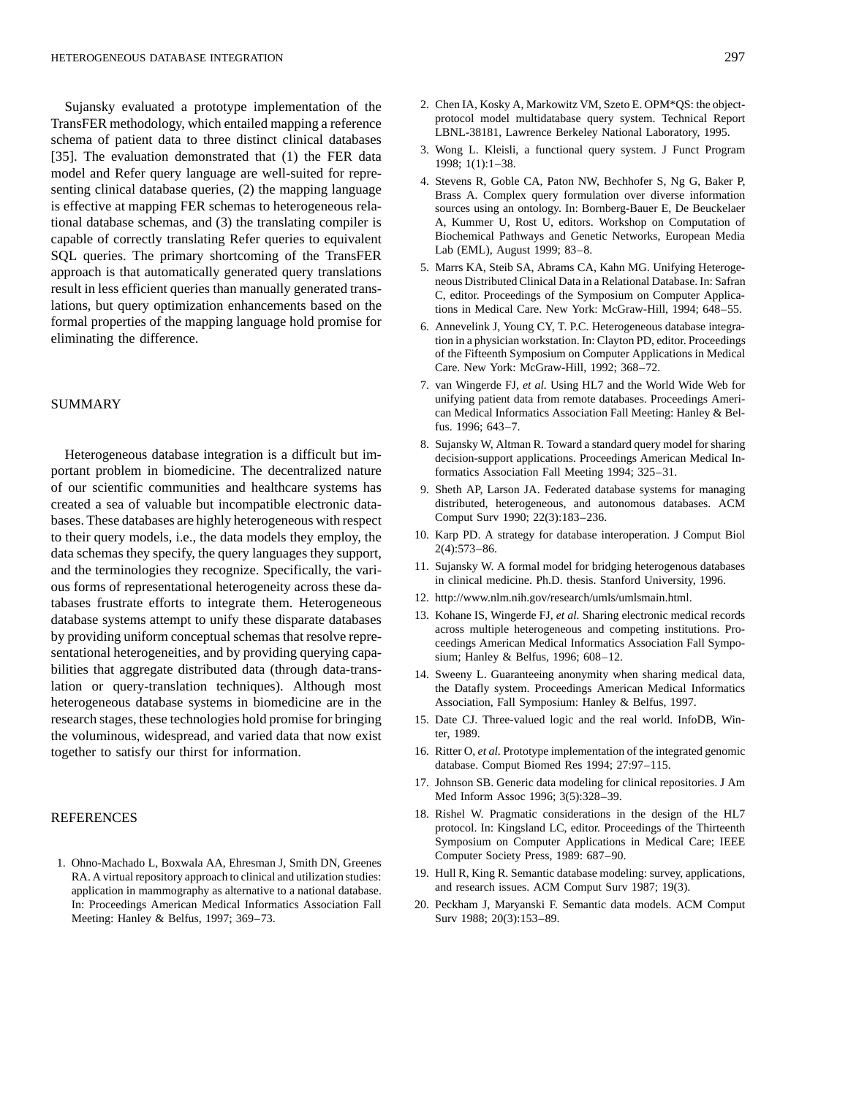TransFER methodology, which entailed mapping a reference<br>
schema of patient data to three distinct clinical databases<br>
[35]. The evaluation demonstrated that (1) the FER data<br>
model and Refer query language are well-suited is effective at mapping FER schemas to heterogeneous rela-<br>sources using an ontology. In: Bornberg-Bauer E, De Beuckelaer tional database schemas, and (3) the translating compiler is A, Kummer U, Rost U, editors. Workshop on Computation of canable of correctly translating Refer queries to equivalent Biochemical Pathways and Genetic Networks, capable of correctly translating Refer queries to equivalent<br>
SQL queries. The primary shortcoming of the TransFER<br>
Lab (EML), August 1999; 83–8.<br>
5. Marrs KA, Steib SA, Abrams CA, Kahn MG. Unifying Heteroge-<br>
5. Marrs KA, approach is that automatically generated query translations<br>result in less efficient queries than manually generated trans-<br>lations, but query optimization enhancements based on the<br>lations in Medical Care. New York: McGra formal properties of the mapping language hold promise for 6. Annevelink J, Young CY, T. P.C. Heterogeneous database integra-<br>eliminating the difference.

portant problem in biomedicine. The decentralized nature formatics Association Fall Meeting 1994; 325–31. of our scientific communities and healthcare systems has 9. Sheth AP, Larson JA. Federated database systems for managing created a sea of valuable but incompatible electronic data- distributed, heterogeneous, and autonomous databases. ACM bases. These databases are highly heterogeneous with respect Comput Surv 1990; 22(3):183-236. 10. Karp PD. A strategy for database interoperation. J Comput Biol data coherence they employ the uncertainty control and the culture of the strategy for database interoperation. J Comput Biol data coherence they employ th data schemas they specify, the query languages they support,<br>and the terminologies they recognize Specifically the yeri 11. Sujansky W. A formal model for bridging heterogenous databases and the terminologies they recognize. Specifically, the vari-<br>
ous forms of representational heterogeneity across these da-<br>
tabases frustrate efforts to integrate them. Heterogeneous<br>
databases frustrate efforts to integr database systems attempt to unify these disparate databases<br>by providing uniform conceptual schemas that resolve repre-<br>sentational heterogeneities, and by providing querying capa-<br>sentational heterogeneities, and by provi bilities that aggregate distributed data (through data-trans-<br>14. Sweeny L. Guaranteeing anonymity when sharing medical data, lation or query-translation techniques). Although most the Datafly system. Proceedings American Medical Informatics heterogeneous database systems in biomedicine are in the Association, Fall Symposium: Hanley & Belfus, 1997. research stages, these technologies hold promise for bringing 15. Date CJ. Three-valued logic and the real world. InfoDB, Winthe voluminous, widespread, and varied data that now exist ter, 1989. together to satisfy our thirst for information. 16. Ritter O, *et al.* Prototype implementation of the integrated genomic

1. Ohno-Machado L, Boxwala AA, Ehresman J, Smith DN, Greenes RA. A virtual repository approach to clinical and utilization studies: 19. Hull R, King R. Semantic database modeling: survey, applications, application in mammoranhy as alternative to a national database and research issu application in mammography as alternative to a national database. In: Proceedings American Medical Informatics Association Fall 20. Peckham J, Maryanski F. Semantic data models. ACM Comput Meeting: Hanley & Belfus, 1997; 369–73. Surv 1988; 20(3):153–89.

- Sujansky evaluated a prototype implementation of the 2. Chen IA, Kosky A, Markowitz VM, Szeto E. OPM\*QS: the object-<br>
protocol model multidatabase query system. Technical Report
	-
	-
	-
	- tion in a physician workstation. In: Clayton PD, editor. Proceedings of the Fifteenth Symposium on Computer Applications in Medical Care. New York: McGraw-Hill, 1992; 368–72.
- 7. van Wingerde FJ, *et al.* Using HL7 and the World Wide Web for unifying patient data from remote databases. Proceedings Ameri- SUMMARY can Medical Informatics Association Fall Meeting: Hanley & Belfus. 1996; 643–7.
	- 8. Sujansky W, Altman R. Toward a standard query model for sharing Heterogeneous database integration is a difficult but im-<br>
	<sup>8.</sup> Sujansky W, Altman R. Toward a standard query model for sharing decision-support applicatio
		-
		-
		-
		-
		-
		-
		-
		- database. Comput Biomed Res 1994; 27:97–115.
		- 17. Johnson SB. Generic data modeling for clinical repositories. J Am Med Inform Assoc 1996; 3(5):328–39.
- REFERENCES 18. Rishel W. Pragmatic considerations in the design of the HL7 protocol. In: Kingsland LC, editor. Proceedings of the Thirteenth Symposium on Computer Applications in Medical Care; IEEE
	-
	-